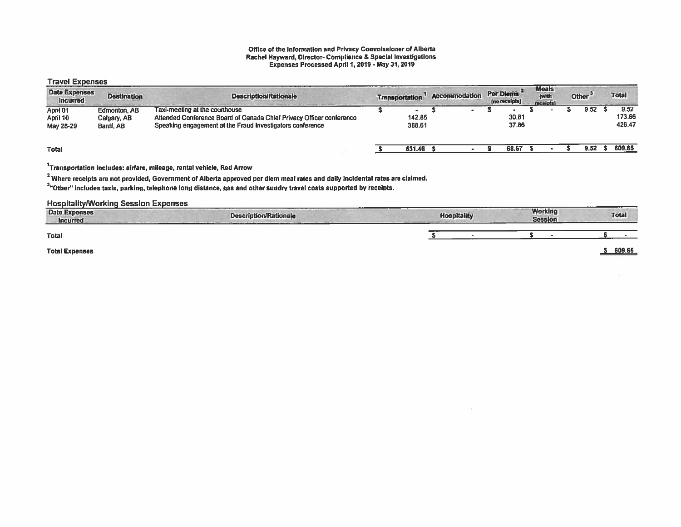### Office of the Information and Privacy Commissioner of Alberta Rachel Hayward, Director- Compliance & Special Investigations Expenses Processed April 1,2019 - May 31, 2019

### Travel Expenses

| <b>Date Expenses</b><br><b>Incurred</b> | <b>Destination</b>                       | <b>Description/Rationale</b>                                                                                                                                        | <b>Transportation</b> | Accommodation            | Per Diems<br>(no receipts) | <b>Meals</b><br>(with<br>receipts) | Other <sup>3</sup> | <b>Total</b>             |
|-----------------------------------------|------------------------------------------|---------------------------------------------------------------------------------------------------------------------------------------------------------------------|-----------------------|--------------------------|----------------------------|------------------------------------|--------------------|--------------------------|
| April 01<br>April 10<br>May 28-29       | Edmonton, AB<br>Calgary, AB<br>Banff, AB | Taxi-meeling at the courthouse<br>Attended Conference Board of Canada Chief Privacy Officer conference<br>Speaking engagement at the Fraud Investigators conference | 142.85<br>388.61      | $\overline{\phantom{0}}$ | 30.81<br>37.86             |                                    | 9.52               | 9.52<br>173.66<br>426.47 |
| <b>Total</b>                            |                                          |                                                                                                                                                                     | 531.46                |                          | 68.67                      |                                    | 9.52               | 609.65                   |

## 1Transportation includes: airfare, mileage, rental vehicle, Red Arrow

 $2\overline{2}$  Where receipts are not provided, Government of Alberta approved per diem meal rates and daily incidental rates are claimed.

3rother" includes taxis, parking, telephone long distance, gas and other sundry travel costs supported by receipts.

## HospitalitylWorking Session Expenses

| --------<br><b>Date Expenses</b><br><b>Incurred</b> | <b>Description/Rationale</b> |  | <b>Working</b><br><b>Session</b> | <b>Total</b> |
|-----------------------------------------------------|------------------------------|--|----------------------------------|--------------|
| <b>Total</b>                                        |                              |  |                                  |              |
| <b>Total Expenses</b>                               |                              |  |                                  | 609.65       |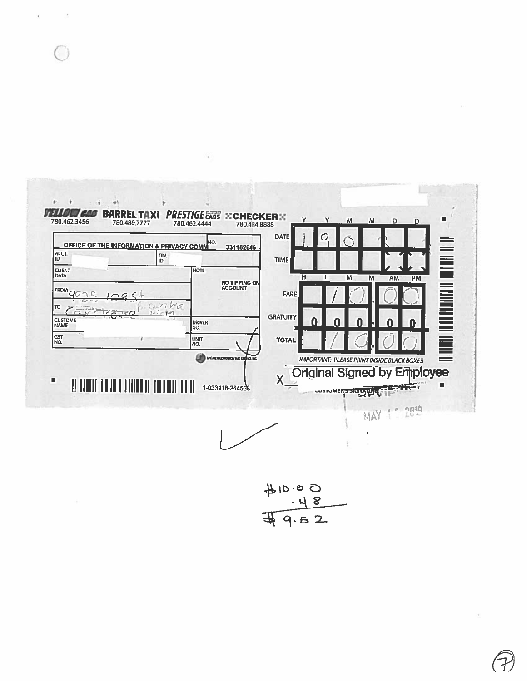

 $+10.00$ <br> $+18$ <br> $+18$ <br> $+18$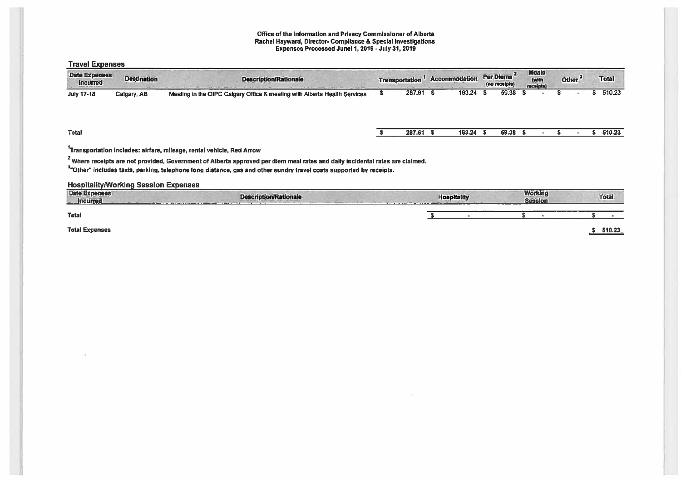### Office of the Information and Privacy Commissioner of Alberta Rachel Hayward, Director- Compliance & Special Investigations Expenses Processed June11, 2019- July 31, 2019

Travel Expenses

| <b>Date Expenses</b><br><b>Incurred</b> | <b>Destination</b> | <b>Description/Rationale</b>                                              | Transportation | <b>Accommodation</b> | Per Diems <sup>2</sup><br>(no receipts) | <b>Meals</b><br>(with<br>receipts) |  | Other <sup>3</sup> | <b>Total</b> |
|-----------------------------------------|--------------------|---------------------------------------------------------------------------|----------------|----------------------|-----------------------------------------|------------------------------------|--|--------------------|--------------|
| July 17-18                              | Calgary, AB        | Meeting in the OIPC Calgary Office & meeting with Alberta Health Services | 287.61         | 163.24               | 59.38                                   |                                    |  |                    | 510.23       |
| <b>Total</b>                            |                    |                                                                           | 287.61         | 163.24               | 59.38                                   |                                    |  |                    | 510.23       |

# 1Transportation includes: airfare, mileage, rental vehicle, Red Arrow

<sup>2</sup> Where receipts are not provided, Government of Alberta approved per diem meal rates and daily incidental rates are claimed.

3'Other" includes taxis, parking, telephone long distance, gas and other sundry travel costs supported by receipts.

HospitalitylWorking Session Expenses

| Date Expenses<br>Incurred | .<br>---------<br><b>Description/Rationale</b> | <b>Hospitality</b> | <b>Working</b><br><b>Session</b> | Total  |
|---------------------------|------------------------------------------------|--------------------|----------------------------------|--------|
| <b>Total</b>              |                                                |                    |                                  |        |
| <b>Total Expenses</b>     |                                                |                    |                                  | 510.23 |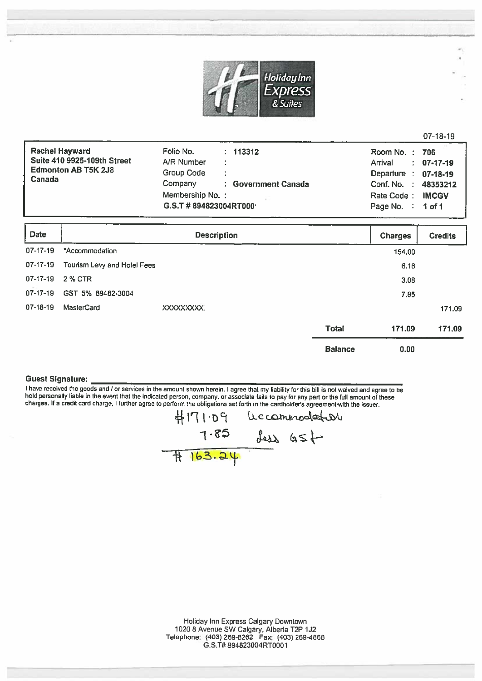

|                             |                                | $07-18-19$                                       |
|-----------------------------|--------------------------------|--------------------------------------------------|
| <b>Rachel Hayward</b>       | Folio No.<br>: 113312          | Room No.: 706                                    |
| Suite 410 9925-109th Street | A/R Number<br>÷                | 07-17-19<br>Arrival<br>$\mathbb{R}^{\mathbb{Z}}$ |
| <b>Edmonton AB T5K 2J8</b>  | Group Code<br>÷                | Departure<br>07-18-19<br>$\sim$ $\sim$           |
| Canada                      | Company<br>: Government Canada | Conf. No. :<br>48353212                          |
|                             | Membership No.:                | <b>IMCGV</b><br>Rate Code:                       |
|                             | G.S.T #894823004RT000          | Page No. :<br>1 of $1$                           |

| <b>Date</b>    |                             | <b>Description</b> |                | <b>Charges</b> | <b>Credits</b> |
|----------------|-----------------------------|--------------------|----------------|----------------|----------------|
| 07-17-19       | *Accommodation              |                    |                | 154.00         |                |
| 07-17-19       | Tourism Levy and Hotel Fees |                    |                | 6.16           |                |
| $07 - 17 - 19$ | 2 % CTR                     |                    |                | 3.08           |                |
| $07 - 17 - 19$ | GST 5% 89482-3004           |                    |                | 7.85           |                |
| 07-18-19       | <b>MasterCard</b>           | XXXXXXXXX.         |                |                | 171.09         |
|                |                             |                    | <b>Total</b>   | 171.09         | 171.09         |
|                |                             |                    | <b>Balance</b> | 0.00           |                |

### Guest Signature:

I have received the goods and / or services in the amount shown herein. I agree that my liability for this bill is not waived and agree to be held personally liable in the event that the indicated person, company, or assoc

 $# 163.24$  $P$ d $\cdot$ l $P$ l $\#$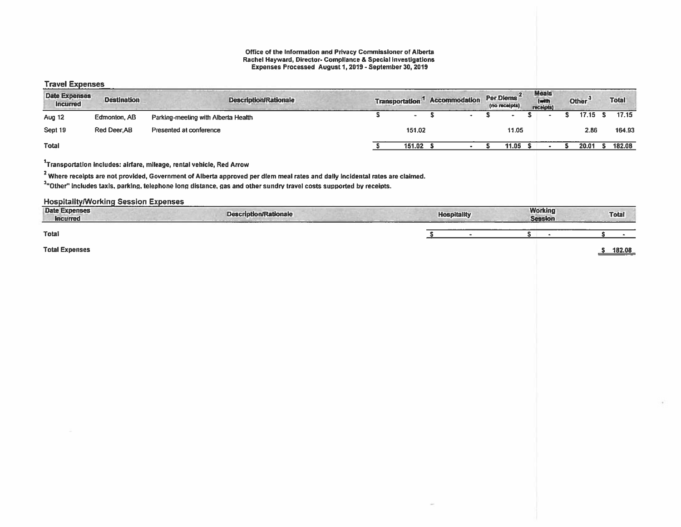#### Office of the Information and Privacy Commissioner of Alberta Rachel Hayward. Director- Compliance & Special Investigations Expenses Processed August 1, 2019- September 30, 2019

### Travel Expenses

| .<br><b>Date Expenses</b><br><b>Incurred</b> | <b>Destination</b> | <b>Description/Rationale</b>        | Transportation. <sup>1</sup> |        | <b>Accommodation</b> |  | Per Diems <sup>2</sup><br>(no receipts) | <b>Meals</b><br>(with<br>receipts) | Other <sup>3</sup> | <b>Total</b> |
|----------------------------------------------|--------------------|-------------------------------------|------------------------------|--------|----------------------|--|-----------------------------------------|------------------------------------|--------------------|--------------|
| <b>Aug 12</b>                                | Edmonton, AB       | Parking-meeting with Alberta Health |                              |        |                      |  |                                         |                                    | 17.15 S            | 17.15        |
| Sept 19                                      | Red Deer, AB       | Presented at conference             |                              | 151.02 |                      |  | 11.05                                   |                                    | 2.86               | 164.93       |
| <b>Total</b>                                 |                    |                                     |                              | 151.02 |                      |  | 11.05                                   |                                    | 20.01              | 182.08       |

# $1$ Transportation includes: airfare, mileage, rental vehicle, Red Arrow

<sup>2</sup> Where receipts are not provided, Government of Alberta approved per diem meal rates and dally incidental rates are claimed.

<sup>3</sup>"Other" includes taxis, parking, telephone long distance, gas and other sundry travel costs supported by receipts.

## Hospitality/Working Session Expenses

| Date Expenses<br><b>incurred</b> | ____<br><b>Description/Rationale</b> | <b>Hospitality</b> | <b>Working</b><br><b>Session</b> | <b>Total</b>  |
|----------------------------------|--------------------------------------|--------------------|----------------------------------|---------------|
| Total                            |                                      | --------           |                                  |               |
| <b>Total Expenses</b>            |                                      |                    |                                  | 182.08<br>___ |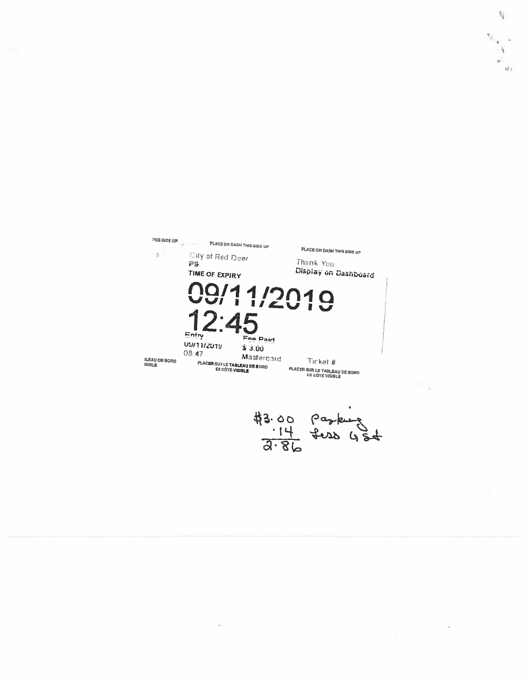THIS SIDE UP IN THE PLACE ON DASH THIS SIDE UP PLACE ON DASH THIS SIDE UP  $\mathfrak{s}^{\vee}$ City of Red Deer Thank You PS Display on Dashboard TIME OF EXPIRY 99/11/2019 4 Entry Fee Paid US/11/2019  $$3.00$ 08:47 Mastercard **ILEAU DE BORD<br>ISIBLE PLACER SUR LE TABLEAU DE BORD**<br>CE CÔTÉ VISIBLE Ticket # **PLACER SUR LE TABLEAU DE BORD<br>CE CÔTÉ VISIBLE** #3.00  $\frac{14}{3.86}$  tess  $45 + 3 = 14$ 

 $\bar{R}$ 

Ñ.

 $\vec{u}$ 

W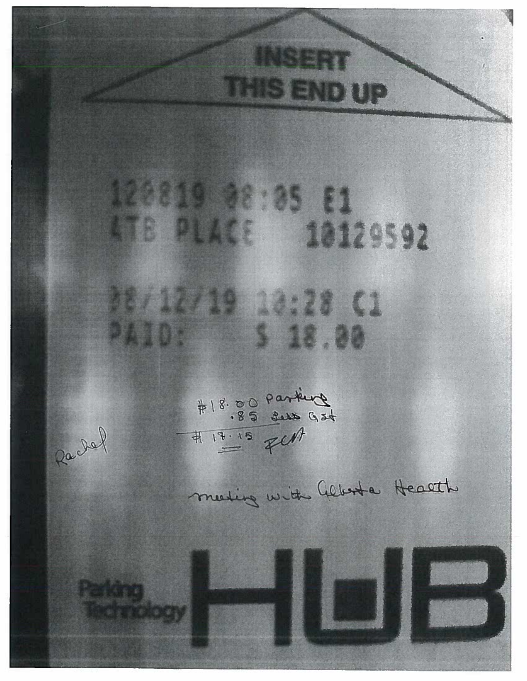**INSERT THIS END UP** 120819 88:85 81 LTB PLACE 10129592 88/12/19 18:28 C1 PAID: 5 18.80 #18.00 parking Rachel meeting with Glb+ta Health Paking, **MARINE**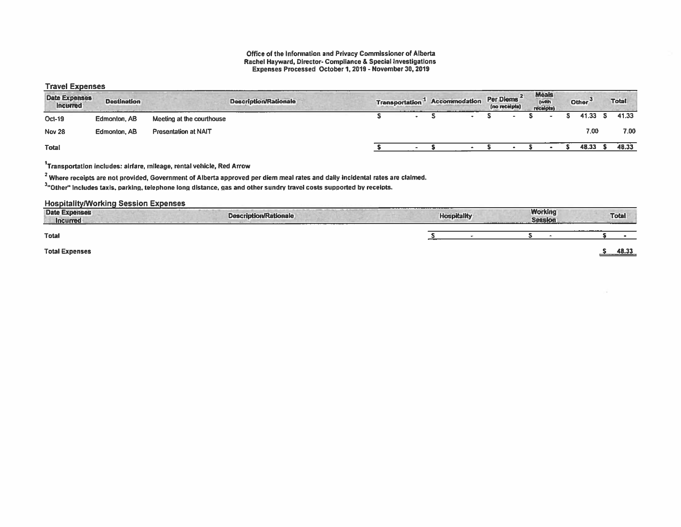### Office of the Information and Privacy Commissioner of Alberta Rachel Hayward, Director- Compliance & Special Investigations Expenses Processed October 1, 2019- November 30, 2019

## Travel Expenses

| <b>Date Expenses</b><br><b>Incurred</b> | <b>Destination</b> | <b>Description/Rationale</b> | <b>Transportation</b> |               | <b>Accommodation</b> |  | Per Diems <sup>2</sup><br>(no receipts) | Meals<br>(with<br>receipts) | Other <sup>3</sup> | <b>Total</b> |
|-----------------------------------------|--------------------|------------------------------|-----------------------|---------------|----------------------|--|-----------------------------------------|-----------------------------|--------------------|--------------|
| Oct-19                                  | Edmonton, AB       | Meeting at the courthouse    |                       | $\rightarrow$ |                      |  |                                         |                             | 41.33 S            | 41.33        |
| <b>Nov 28</b>                           | Edmonton, AB       | <b>Presentation at NAIT</b>  |                       |               |                      |  |                                         |                             | 7.00               | 7.00         |
| Total                                   |                    |                              |                       |               |                      |  |                                         |                             | 48.33              | 48.33        |

# 1Transportation includes: airfare, mileage, rental vehicle, Red Arrow

<sup>2</sup> Where receipts are not provided, Government of Alberta approved per diem meal rates and daily incidental rates are claimed.

 $3$ "Other" includes taxis, parking, telephone long distance, gas and other sundry travel costs supported by receipts.

## Hospitalitylworking Session Expenses

| ________<br><b>Date Expenses</b><br><b>Incurred</b> | <b>Description/Rationale</b><br>------- | <b>Hospitality</b> |  |  | <b>Working</b><br><b>Session</b> |         | <b>Total</b> |
|-----------------------------------------------------|-----------------------------------------|--------------------|--|--|----------------------------------|---------|--------------|
| <b>Total</b>                                        |                                         |                    |  |  |                                  | _______ |              |
| <b>Total Expenses</b>                               |                                         |                    |  |  |                                  |         | 48.33        |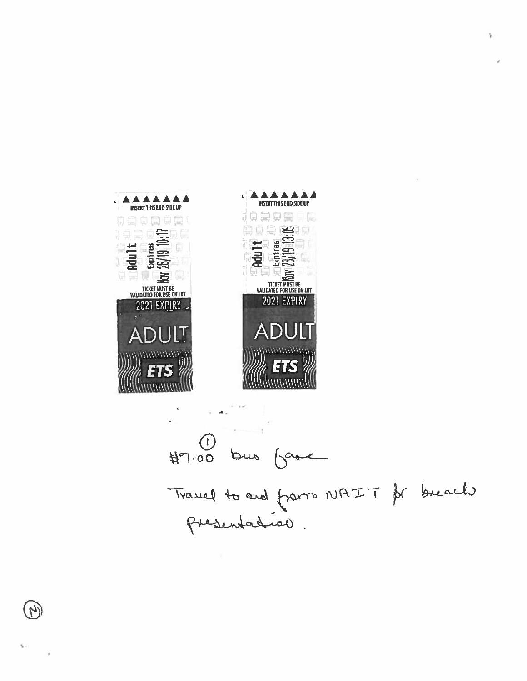

Ŋ

 $\sim$ 

 $\sim$   $\sim$  $\begin{array}{cc}\n\bullet & \bullet \\
\text{H7.00} & \text{bus} & \text{bvec}\n\end{array}$ Travel to ard from NAIT pr breach

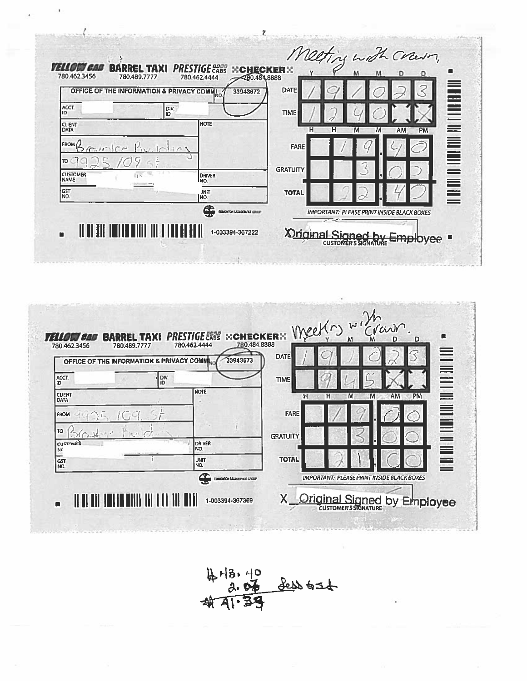|                                  | OFFICE OF THE INFORMATION & PRIVACY COMM | <b>DATE</b><br>33943672                 |                                                                                                                |
|----------------------------------|------------------------------------------|-----------------------------------------|----------------------------------------------------------------------------------------------------------------|
| ACCT.<br>liD                     | DIV.<br>ID                               | <b>TIME</b>                             | ILA DE LA TANA DI ALTERNA DE LA TANA DE LA TANA DE LA TANA DE LA TANA DE LA TANA DE LA TANÀ DE LA TANÀ DE LA T |
| <b>CUENT</b><br><b>DATA</b>      | Inote                                    |                                         | н<br>н<br>M<br>AM.<br><b>PM</b><br>M                                                                           |
| FROM()                           |                                          | FARE                                    |                                                                                                                |
| סדו                              |                                          |                                         |                                                                                                                |
| <b>CUSTOMER</b><br><b>I</b> NAME | <b>DRIVER</b><br>INO.                    | <b>GRATUITY</b>                         |                                                                                                                |
| GST<br>NO.                       | <b>JNIT</b><br>INO.                      | <b>TOTAL</b>                            |                                                                                                                |
|                                  |                                          | æ<br><b>EDMONTON TAXI SERVICE GROUP</b> | <b>IMPORTANT: PLEASE PRINT INSIDE BLACK BOXES</b>                                                              |



413.40<br>2.07 dess 636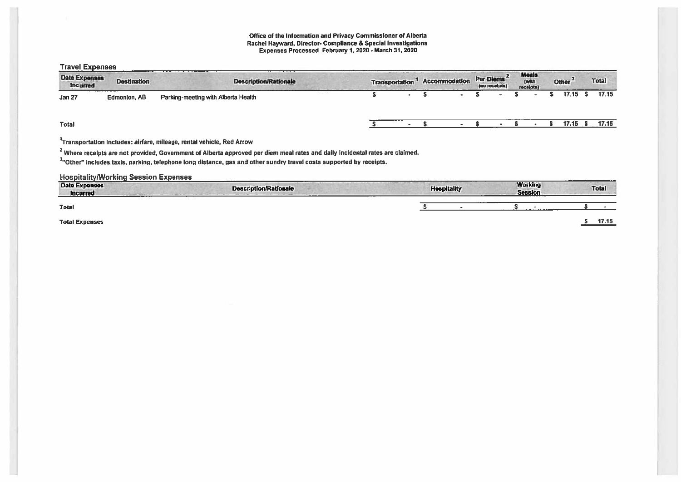### Office of the Information and Privacy Commissioner of Alberta Rachel Hayward, Director- Compliance & Special Investigations Expenses Processed February 1, 2020 - March 31, 2020

Travel Expenses

| <b>Date Expenses</b><br>Incurred | <b>Destination</b> | <b>Description/Rationale</b>                    | <b>Transportation</b> |           |  |        |  |  |         |       |  |  |  |  | Accommodation | Per Diems <sup>2</sup><br>(no receipts) | <b>Meals</b><br>(with<br>receipts) |  | Other <sup>3</sup> | <b>Total</b> |
|----------------------------------|--------------------|-------------------------------------------------|-----------------------|-----------|--|--------|--|--|---------|-------|--|--|--|--|---------------|-----------------------------------------|------------------------------------|--|--------------------|--------------|
| Jan 27                           | Edmonton, AB       | --------<br>Parking-meeting with Alberta Health |                       | $\bullet$ |  | $\sim$ |  |  | 17.15 S | 17.15 |  |  |  |  |               |                                         |                                    |  |                    |              |
| <b>Total</b>                     |                    |                                                 |                       |           |  |        |  |  | 17.15   | 17.15 |  |  |  |  |               |                                         |                                    |  |                    |              |

1Transportation includes: airfare, mileage, rental vehicle, Red Arrow

<sup>2</sup> Where receipts are not provided, Government of Alberta approved per diem meal rates and daily incidental rates are claimed.

3. Other" includes taxis, parking, telephone long distance, gas and other sundry travel costs supported by receipts.

### Hospitalitylworking Session Expenses

| --------<br><b>Date Expenses</b><br>Incurred | ---------<br><b>Description/Rationale</b><br>____ | <b>Hospitality</b> | <b>Working</b><br><b>Session</b> | Total |
|----------------------------------------------|---------------------------------------------------|--------------------|----------------------------------|-------|
| <b>Total</b>                                 |                                                   |                    |                                  |       |
| <b>Total Expenses</b>                        |                                                   |                    |                                  | 17.15 |